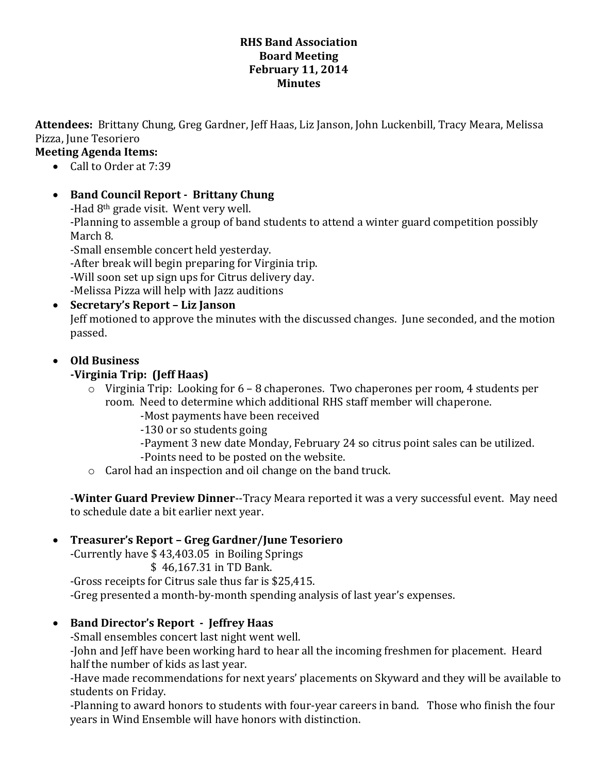#### **RHS Band Association Board Meeting February 11, 2014 Minutes**

**Attendees:** Brittany Chung, Greg Gardner, Jeff Haas, Liz Janson, John Luckenbill, Tracy Meara, Melissa Pizza, June Tesoriero

#### **Meeting Agenda Items:**

- Call to Order at 7:39
- **Band Council Report - Brittany Chung**

-Had 8th grade visit. Went very well.

-Planning to assemble a group of band students to attend a winter guard competition possibly March 8.

-Small ensemble concert held yesterday.

-After break will begin preparing for Virginia trip.

-Will soon set up sign ups for Citrus delivery day.

-Melissa Pizza will help with Jazz auditions

# **Secretary's Report – Liz Janson**

Jeff motioned to approve the minutes with the discussed changes. June seconded, and the motion passed.

#### **Old Business**

# **-Virginia Trip: (Jeff Haas)**

- $\circ$  Virginia Trip: Looking for 6 8 chaperones. Two chaperones per room, 4 students per room. Need to determine which additional RHS staff member will chaperone.
	- -Most payments have been received
	- -130 or so students going
	- -Payment 3 new date Monday, February 24 so citrus point sales can be utilized.
	- -Points need to be posted on the website.
- o Carol had an inspection and oil change on the band truck.

-**Winter Guard Preview Dinner**--Tracy Meara reported it was a very successful event. May need to schedule date a bit earlier next year.

# **Treasurer's Report – Greg Gardner/June Tesoriero**

-Currently have \$ 43,403.05 in Boiling Springs

\$ 46,167.31 in TD Bank.

-Gross receipts for Citrus sale thus far is \$25,415.

-Greg presented a month-by-month spending analysis of last year's expenses.

# **Band Director's Report - Jeffrey Haas**

-Small ensembles concert last night went well.

-John and Jeff have been working hard to hear all the incoming freshmen for placement. Heard half the number of kids as last year.

-Have made recommendations for next years' placements on Skyward and they will be available to students on Friday.

-Planning to award honors to students with four-year careers in band. Those who finish the four years in Wind Ensemble will have honors with distinction.